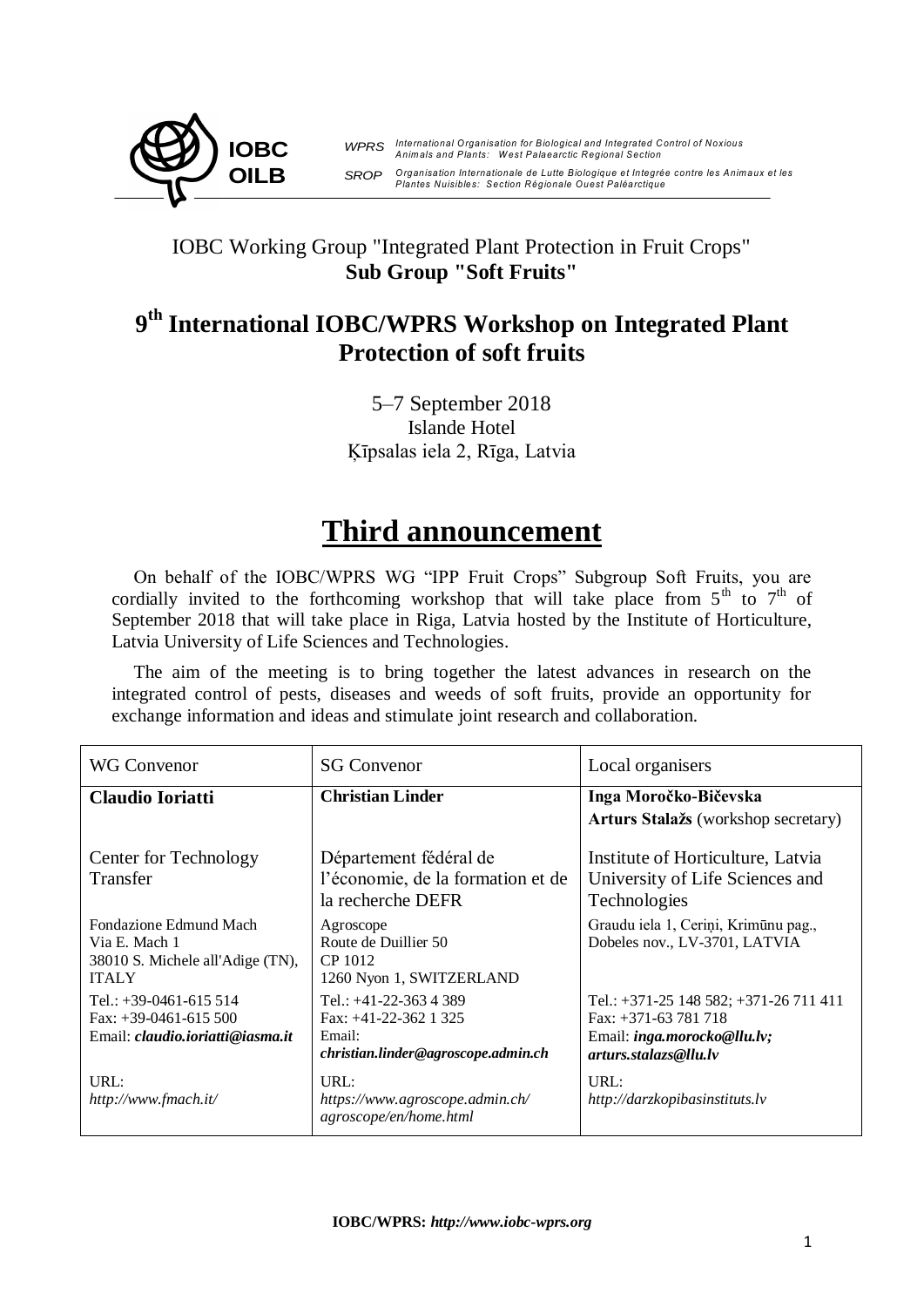

*WPRS International O rganisation for Biological and Integrated C ontrol of Noxious Anim als and Plants: W est Palaearctic Regional Section* SROP Organisation Internationale de Lutte Biologique et Integrée contre les Animaux et les *International Organisation for Biological and Integrated Control of Noxious<br>Animals and Plants: West Palaearctic Regional Section<br>Organisation Internationale de Lutte Biologique et Integrée contre les Animaux et les<br>Plant Plantes Nuisibles: Section Régionale Ouest Paléarctique*

# IOBC Working Group "Integrated Plant Protection in Fruit Crops" **Sub Group "Soft Fruits"**

# **9 th International IOBC/WPRS Workshop on Integrated Plant Protection of soft fruits**

5–7 September 2018 Islande Hotel Ķīpsalas iela 2, Rīga, Latvia

# **Third announcement**

On behalf of the IOBC/WPRS WG "IPP Fruit Crops" Subgroup Soft Fruits, you are cordially invited to the forthcoming workshop that will take place from  $5<sup>th</sup>$  to  $7<sup>th</sup>$  of September 2018 that will take place in Riga, Latvia hosted by the Institute of Horticulture, Latvia University of Life Sciences and Technologies.

The aim of the meeting is to bring together the latest advances in research on the integrated control of pests, diseases and weeds of soft fruits, provide an opportunity for exchange information and ideas and stimulate joint research and collaboration.

| <b>WG Convenor</b>                                                                           | <b>SG Convenor</b>                                                                                   | Local organisers                                                                                                             |
|----------------------------------------------------------------------------------------------|------------------------------------------------------------------------------------------------------|------------------------------------------------------------------------------------------------------------------------------|
| <b>Claudio Ioriatti</b>                                                                      | <b>Christian Linder</b>                                                                              | Inga Moročko-Bičevska<br>Arturs Stalažs (workshop secretary)                                                                 |
| Center for Technology<br>Transfer                                                            | Département fédéral de<br>l'économie, de la formation et de<br>la recherche DEFR                     | Institute of Horticulture, Latvia<br>University of Life Sciences and<br>Technologies                                         |
| Fondazione Edmund Mach<br>Via E. Mach 1<br>38010 S. Michele all'Adige (TN),<br><b>ITALY</b>  | Agroscope<br>Route de Duillier 50<br>CP 1012<br>1260 Nyon 1, SWITZERLAND                             | Graudu iela 1, Ceriņi, Krimūnu pag.,<br>Dobeles nov., LV-3701, LATVIA                                                        |
| Tel.: $+39-0461-615514$<br>Fax: $+39-0461-615500$<br>Email: <i>claudio.ioriatti@iasma.it</i> | Tel.: $+41-22-363$ 4 389<br>Fax: $+41-22-362$ 1 325<br>Email:<br>christian.linder@agroscope.admin.ch | Tel.: $+371-25148582$ ; $+371-26711411$<br>Fax: $+371-63781718$<br>Email: $inga.morocko@llu.\n,lv;$<br>arturs.stalazs@llu.lv |
| URL:<br>http://www.fmach.it/                                                                 | URL:<br>https://www.agroscope.admin.ch/<br>agroscope/en/home.html                                    | URL:<br>http://darzkopibasinstituts.lv                                                                                       |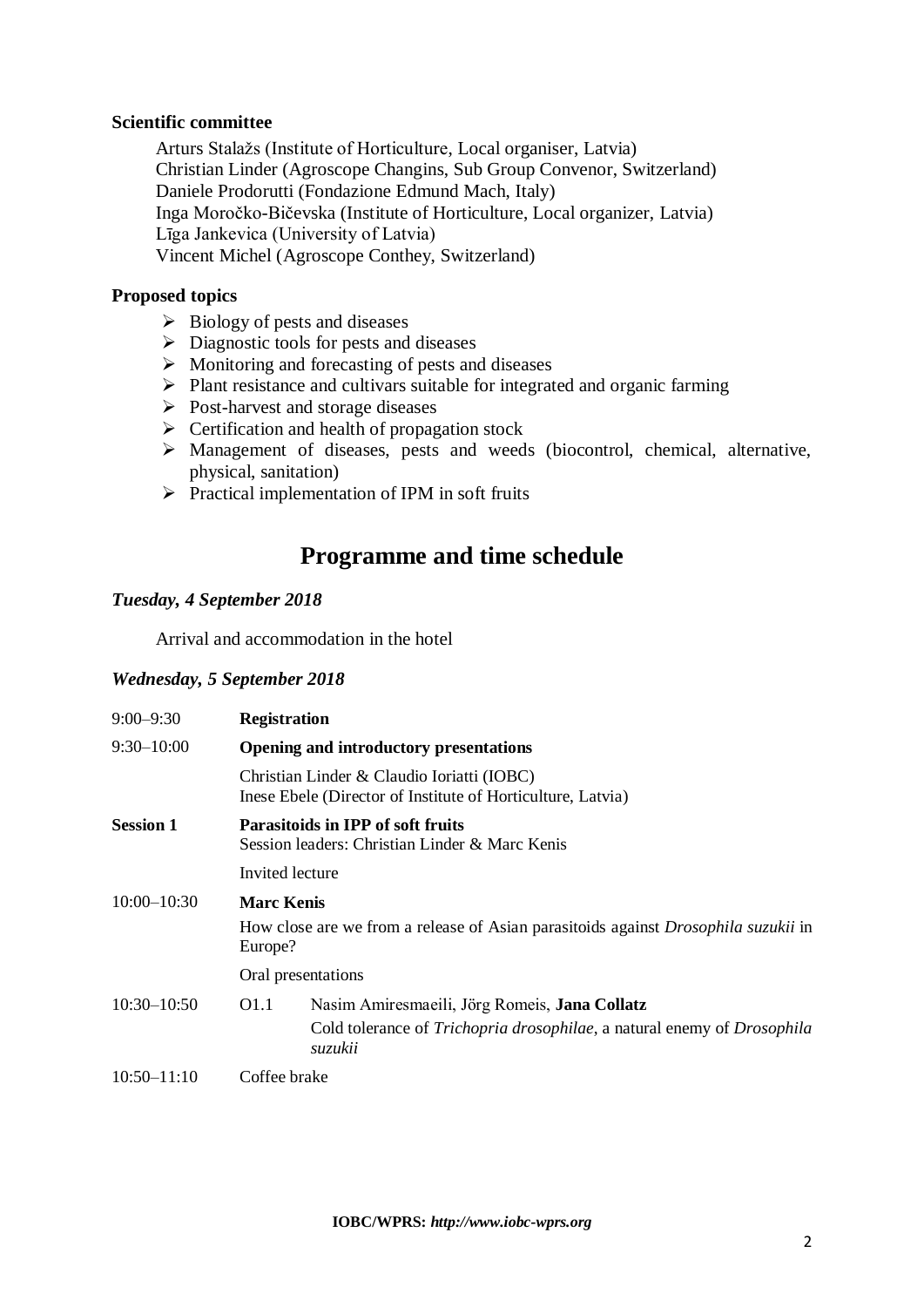# **Scientific committee**

Arturs Stalažs (Institute of Horticulture, Local organiser, Latvia) Christian Linder (Agroscope Changins, Sub Group Convenor, Switzerland) Daniele Prodorutti (Fondazione Edmund Mach, Italy) Inga Moročko-Bičevska (Institute of Horticulture, Local organizer, Latvia) Līga Jankevica (University of Latvia) Vincent Michel (Agroscope Conthey, Switzerland)

# **Proposed topics**

- $\triangleright$  Biology of pests and diseases
- $\triangleright$  Diagnostic tools for pests and diseases
- $\triangleright$  Monitoring and forecasting of pests and diseases
- $\triangleright$  Plant resistance and cultivars suitable for integrated and organic farming
- $\triangleright$  Post-harvest and storage diseases
- $\triangleright$  Certification and health of propagation stock
- Management of diseases, pests and weeds (biocontrol, chemical, alternative, physical, sanitation)
- $\triangleright$  Practical implementation of IPM in soft fruits

# **Programme and time schedule**

# *Tuesday, 4 September 2018*

Arrival and accommodation in the hotel

# *Wednesday, 5 September 2018*

| $9:00 - 9:30$    | <b>Registration</b>                                                                                                                                                    |  |  |
|------------------|------------------------------------------------------------------------------------------------------------------------------------------------------------------------|--|--|
| $9:30 - 10:00$   | <b>Opening and introductory presentations</b>                                                                                                                          |  |  |
|                  | Christian Linder & Claudio Ioriatti (IOBC)<br>Inese Ebele (Director of Institute of Horticulture, Latvia)                                                              |  |  |
| <b>Session 1</b> | <b>Parasitoids in IPP of soft fruits</b><br>Session leaders: Christian Linder & Marc Kenis                                                                             |  |  |
|                  | Invited lecture                                                                                                                                                        |  |  |
| $10:00 - 10:30$  | <b>Marc Kenis</b>                                                                                                                                                      |  |  |
|                  | How close are we from a release of Asian parasitoids against <i>Drosophila suzukii</i> in<br>Europe?                                                                   |  |  |
|                  | Oral presentations                                                                                                                                                     |  |  |
| $10:30 - 10:50$  | Nasim Amiresmaeili, Jörg Romeis, Jana Collatz<br>O <sub>1.1</sub><br>Cold tolerance of <i>Trichopria drosophilae</i> , a natural enemy of <i>Drosophila</i><br>suzukii |  |  |
| $10:50 - 11:10$  | Coffee brake                                                                                                                                                           |  |  |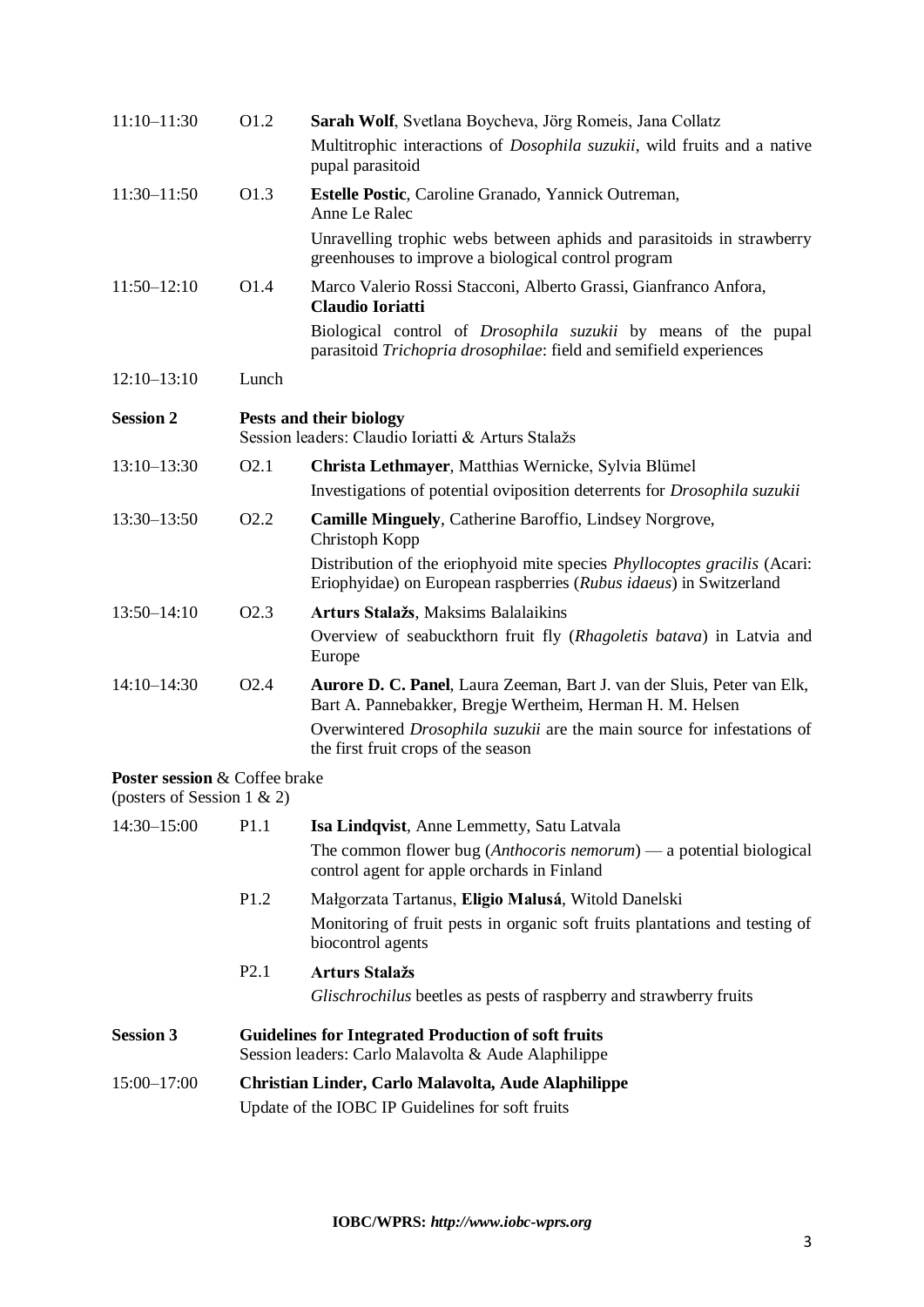| $11:10 - 11:30$                                             | O1.2                                                                                                              | Sarah Wolf, Svetlana Boycheva, Jörg Romeis, Jana Collatz<br>Multitrophic interactions of <i>Dosophila suzukii</i> , wild fruits and a native<br>pupal parasitoid |
|-------------------------------------------------------------|-------------------------------------------------------------------------------------------------------------------|------------------------------------------------------------------------------------------------------------------------------------------------------------------|
| 11:30-11:50                                                 | O1.3                                                                                                              | Estelle Postic, Caroline Granado, Yannick Outreman,<br>Anne Le Ralec                                                                                             |
|                                                             |                                                                                                                   | Unravelling trophic webs between aphids and parasitoids in strawberry<br>greenhouses to improve a biological control program                                     |
| $11:50 - 12:10$                                             | O1.4                                                                                                              | Marco Valerio Rossi Stacconi, Alberto Grassi, Gianfranco Anfora,<br><b>Claudio Ioriatti</b>                                                                      |
|                                                             |                                                                                                                   | Biological control of <i>Drosophila suzukii</i> by means of the pupal<br>parasitoid Trichopria drosophilae: field and semifield experiences                      |
| $12:10-13:10$                                               | Lunch                                                                                                             |                                                                                                                                                                  |
| <b>Session 2</b>                                            |                                                                                                                   | Pests and their biology<br>Session leaders: Claudio Ioriatti & Arturs Stalažs                                                                                    |
| $13:10 - 13:30$                                             | O <sub>2.1</sub>                                                                                                  | Christa Lethmayer, Matthias Wernicke, Sylvia Blümel                                                                                                              |
|                                                             |                                                                                                                   | Investigations of potential oviposition deterrents for <i>Drosophila suzukii</i>                                                                                 |
| 13:30-13:50                                                 | O <sub>2.2</sub>                                                                                                  | <b>Camille Minguely, Catherine Baroffio, Lindsey Norgrove,</b><br>Christoph Kopp                                                                                 |
|                                                             |                                                                                                                   | Distribution of the eriophyoid mite species <i>Phyllocoptes gracilis</i> (Acari:<br>Eriophyidae) on European raspberries (Rubus idaeus) in Switzerland           |
| $13:50 - 14:10$                                             | O <sub>2.3</sub>                                                                                                  | Arturs Stalažs, Maksims Balalaikins                                                                                                                              |
|                                                             |                                                                                                                   | Overview of seabuckthorn fruit fly (Rhagoletis batava) in Latvia and<br>Europe                                                                                   |
| $14:10 - 14:30$                                             | O <sub>2.4</sub>                                                                                                  | Aurore D. C. Panel, Laura Zeeman, Bart J. van der Sluis, Peter van Elk,<br>Bart A. Pannebakker, Bregje Wertheim, Herman H. M. Helsen                             |
|                                                             |                                                                                                                   | Overwintered Drosophila suzukii are the main source for infestations of<br>the first fruit crops of the season                                                   |
| Poster session & Coffee brake<br>(posters of Session 1 & 2) |                                                                                                                   |                                                                                                                                                                  |
| 14:30-15:00                                                 | P1.1                                                                                                              | Isa Lindqvist, Anne Lemmetty, Satu Latvala                                                                                                                       |
|                                                             |                                                                                                                   | The common flower bug ( <i>Anthocoris nemorum</i> ) — a potential biological<br>control agent for apple orchards in Finland                                      |
|                                                             | P1.2                                                                                                              | Małgorzata Tartanus, Eligio Malusá, Witold Danelski                                                                                                              |
|                                                             |                                                                                                                   | Monitoring of fruit pests in organic soft fruits plantations and testing of<br>biocontrol agents                                                                 |
|                                                             | P2.1                                                                                                              | <b>Arturs Stalažs</b>                                                                                                                                            |
|                                                             |                                                                                                                   | Glischrochilus beetles as pests of raspberry and strawberry fruits                                                                                               |
| <b>Session 3</b>                                            | <b>Guidelines for Integrated Production of soft fruits</b><br>Session leaders: Carlo Malavolta & Aude Alaphilippe |                                                                                                                                                                  |
| 15:00-17:00                                                 | Christian Linder, Carlo Malavolta, Aude Alaphilippe<br>Update of the IOBC IP Guidelines for soft fruits           |                                                                                                                                                                  |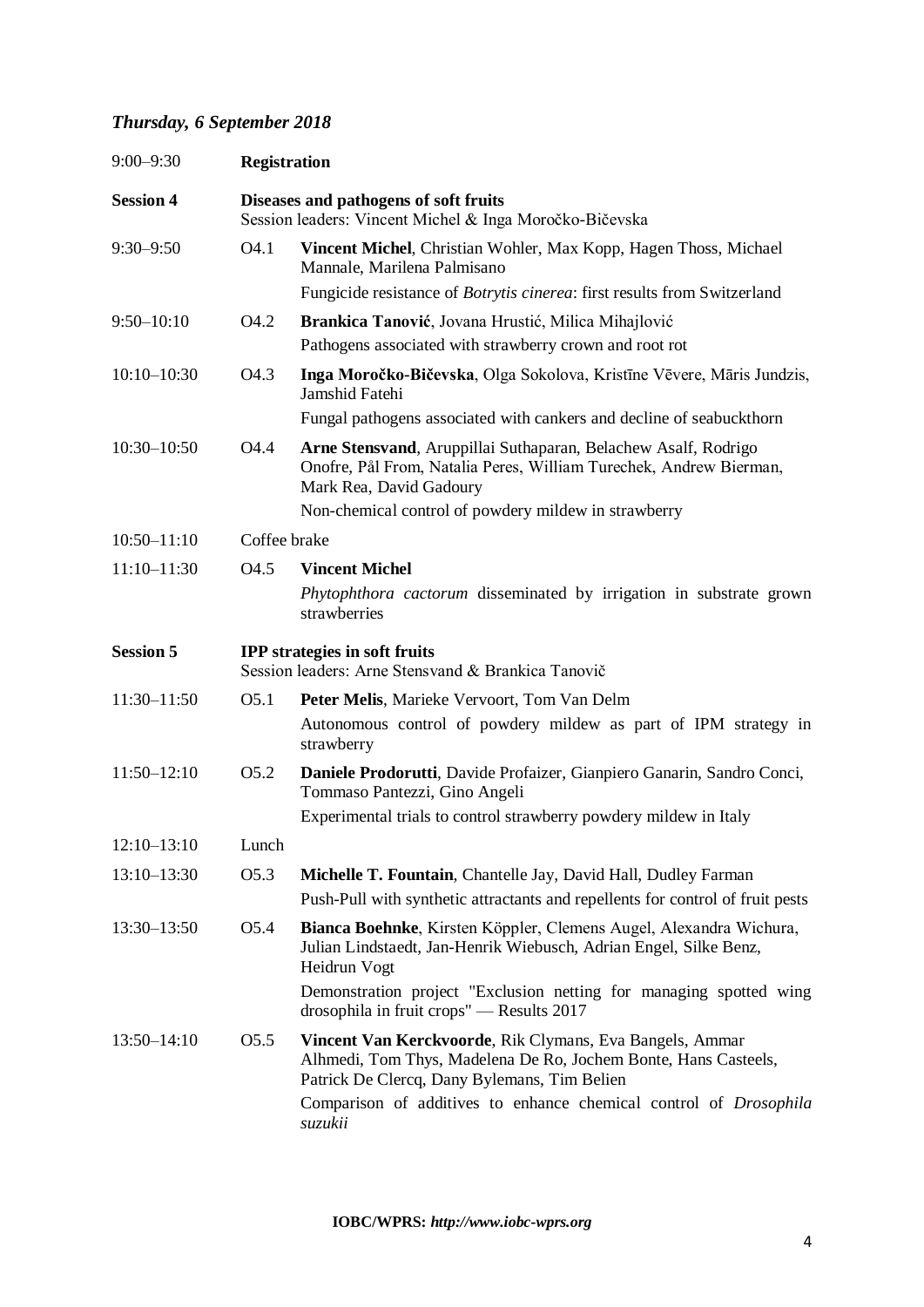# *Thursday, 6 September 2018*

| $9:00 - 9:30$    | <b>Registration</b>                                                                              |                                                                                                                                                                             |  |
|------------------|--------------------------------------------------------------------------------------------------|-----------------------------------------------------------------------------------------------------------------------------------------------------------------------------|--|
| <b>Session 4</b> | Diseases and pathogens of soft fruits<br>Session leaders: Vincent Michel & Inga Moročko-Bičevska |                                                                                                                                                                             |  |
| $9:30 - 9:50$    | O <sub>4.1</sub>                                                                                 | Vincent Michel, Christian Wohler, Max Kopp, Hagen Thoss, Michael<br>Mannale, Marilena Palmisano                                                                             |  |
|                  |                                                                                                  | Fungicide resistance of <i>Botrytis cinerea</i> : first results from Switzerland                                                                                            |  |
| $9:50 - 10:10$   | O <sub>4.2</sub>                                                                                 | Brankica Tanović, Jovana Hrustić, Milica Mihajlović                                                                                                                         |  |
|                  |                                                                                                  | Pathogens associated with strawberry crown and root rot                                                                                                                     |  |
| $10:10 - 10:30$  | O <sub>4.3</sub>                                                                                 | Inga Moročko-Bičevska, Olga Sokolova, Kristīne Vēvere, Māris Jundzis,<br>Jamshid Fatehi                                                                                     |  |
|                  |                                                                                                  | Fungal pathogens associated with cankers and decline of seabuckthorn                                                                                                        |  |
| $10:30 - 10:50$  | O4.4                                                                                             | Arne Stensvand, Aruppillai Suthaparan, Belachew Asalf, Rodrigo<br>Onofre, Pål From, Natalia Peres, William Turechek, Andrew Bierman,<br>Mark Rea, David Gadoury             |  |
|                  |                                                                                                  | Non-chemical control of powdery mildew in strawberry                                                                                                                        |  |
| $10:50 - 11:10$  |                                                                                                  | Coffee brake                                                                                                                                                                |  |
| $11:10 - 11:30$  | O <sub>4.5</sub>                                                                                 | <b>Vincent Michel</b>                                                                                                                                                       |  |
|                  |                                                                                                  | Phytophthora cactorum disseminated by irrigation in substrate grown<br>strawberries                                                                                         |  |
| <b>Session 5</b> |                                                                                                  | <b>IPP</b> strategies in soft fruits<br>Session leaders: Arne Stensvand & Brankica Tanovič                                                                                  |  |
| $11:30 - 11:50$  | O <sub>5.1</sub>                                                                                 | Peter Melis, Marieke Vervoort, Tom Van Delm                                                                                                                                 |  |
|                  |                                                                                                  | Autonomous control of powdery mildew as part of IPM strategy in<br>strawberry                                                                                               |  |
| $11:50 - 12:10$  | O <sub>5.2</sub>                                                                                 | Daniele Prodorutti, Davide Profaizer, Gianpiero Ganarin, Sandro Conci,<br>Tommaso Pantezzi, Gino Angeli                                                                     |  |
|                  |                                                                                                  | Experimental trials to control strawberry powdery mildew in Italy                                                                                                           |  |
| $12:10-13:10$    | Lunch                                                                                            |                                                                                                                                                                             |  |
| $13:10 - 13:30$  | O <sub>5.3</sub>                                                                                 | Michelle T. Fountain, Chantelle Jay, David Hall, Dudley Farman                                                                                                              |  |
|                  |                                                                                                  | Push-Pull with synthetic attractants and repellents for control of fruit pests                                                                                              |  |
| $13:30 - 13:50$  | O5.4                                                                                             | Bianca Boehnke, Kirsten Köppler, Clemens Augel, Alexandra Wichura,<br>Julian Lindstaedt, Jan-Henrik Wiebusch, Adrian Engel, Silke Benz,<br>Heidrun Vogt                     |  |
|                  |                                                                                                  | Demonstration project "Exclusion netting for managing spotted wing<br>drosophila in fruit crops" - Results 2017                                                             |  |
| $13:50 - 14:10$  | O <sub>5.5</sub>                                                                                 | Vincent Van Kerckvoorde, Rik Clymans, Eva Bangels, Ammar<br>Alhmedi, Tom Thys, Madelena De Ro, Jochem Bonte, Hans Casteels,<br>Patrick De Clercq, Dany Bylemans, Tim Belien |  |
|                  |                                                                                                  | Comparison of additives to enhance chemical control of Drosophila<br>suzukii                                                                                                |  |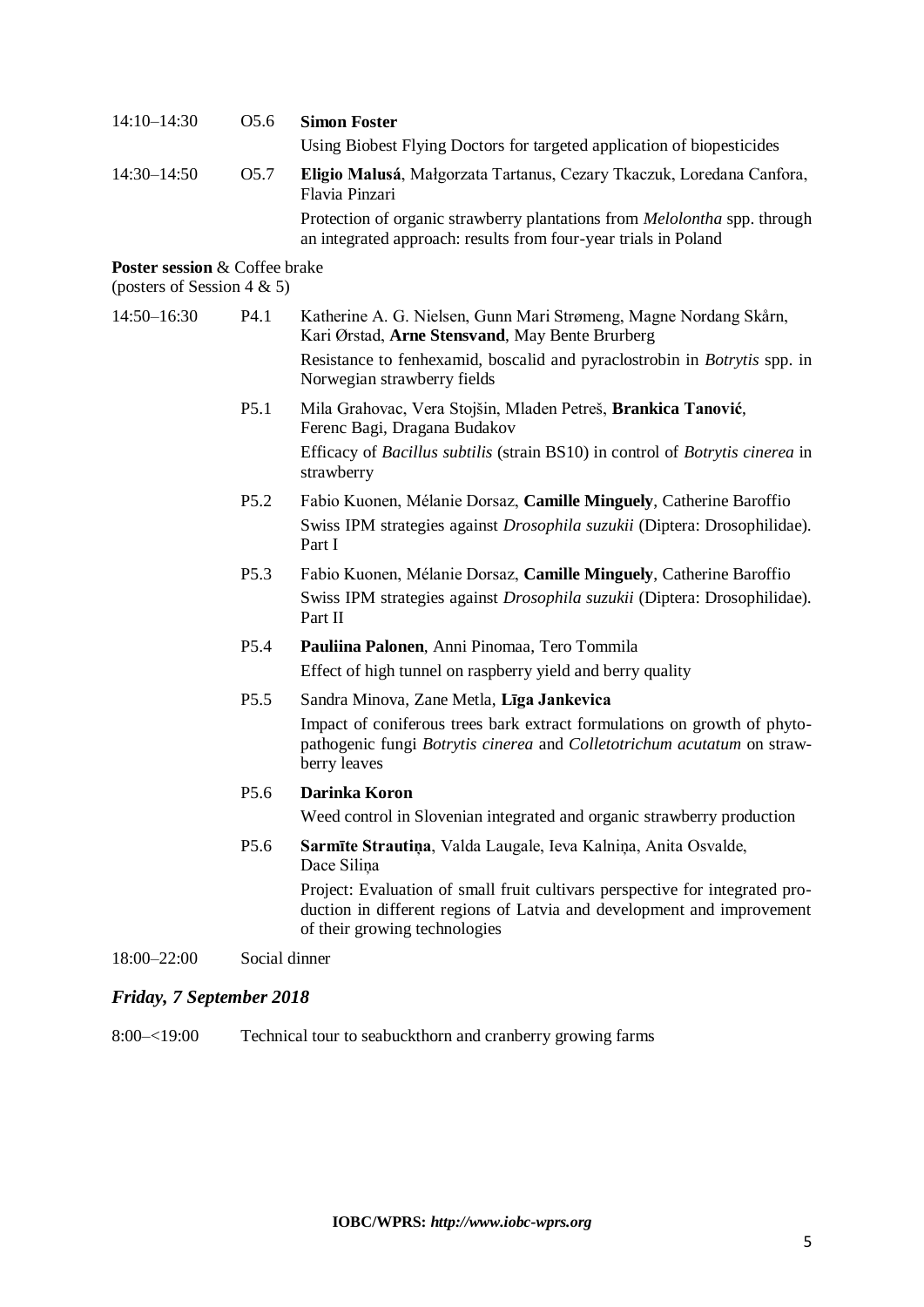| 14:10-14:30     | O <sub>5.6</sub> | <b>Simon Foster</b>                                                                                                                                 |
|-----------------|------------------|-----------------------------------------------------------------------------------------------------------------------------------------------------|
|                 |                  | Using Biobest Flying Doctors for targeted application of biopesticides                                                                              |
| $14:30 - 14:50$ | O <sub>5.7</sub> | Eligio Malusá, Małgorzata Tartanus, Cezary Tkaczuk, Loredana Canfora,<br>Flavia Pinzari                                                             |
|                 |                  | Protection of organic strawberry plantations from <i>Melolontha</i> spp. through<br>an integrated approach: results from four-year trials in Poland |

### **Poster session** & Coffee brake

(posters of Session  $4 \& 5$ )

| 14:50-16:30              | P4.1             | Katherine A. G. Nielsen, Gunn Mari Strømeng, Magne Nordang Skårn,<br>Kari Ørstad, Arne Stensvand, May Bente Brurberg                                                                    |
|--------------------------|------------------|-----------------------------------------------------------------------------------------------------------------------------------------------------------------------------------------|
|                          |                  | Resistance to fenhexamid, boscalid and pyraclostrobin in <i>Botrytis</i> spp. in<br>Norwegian strawberry fields                                                                         |
|                          | P <sub>5.1</sub> | Mila Grahovac, Vera Stojšin, Mladen Petreš, Brankica Tanović,<br>Ferenc Bagi, Dragana Budakov                                                                                           |
|                          |                  | Efficacy of <i>Bacillus subtilis</i> (strain BS10) in control of <i>Botrytis cinerea</i> in<br>strawberry                                                                               |
|                          | P <sub>5.2</sub> | Fabio Kuonen, Mélanie Dorsaz, Camille Minguely, Catherine Baroffio                                                                                                                      |
|                          |                  | Swiss IPM strategies against <i>Drosophila suzukii</i> (Diptera: Drosophilidae).<br>Part I                                                                                              |
|                          | P <sub>5.3</sub> | Fabio Kuonen, Mélanie Dorsaz, Camille Minguely, Catherine Baroffio                                                                                                                      |
|                          |                  | Swiss IPM strategies against Drosophila suzukii (Diptera: Drosophilidae).<br>Part II                                                                                                    |
|                          | P <sub>5.4</sub> | Pauliina Palonen, Anni Pinomaa, Tero Tommila                                                                                                                                            |
|                          |                  | Effect of high tunnel on raspberry yield and berry quality                                                                                                                              |
|                          | P <sub>5.5</sub> | Sandra Minova, Zane Metla, Līga Jankevica                                                                                                                                               |
|                          |                  | Impact of coniferous trees bark extract formulations on growth of phyto-<br>pathogenic fungi Botrytis cinerea and Colletotrichum acutatum on straw-<br>berry leaves                     |
|                          | P <sub>5.6</sub> | Darinka Koron                                                                                                                                                                           |
|                          |                  | Weed control in Slovenian integrated and organic strawberry production                                                                                                                  |
|                          | P <sub>5.6</sub> | Sarmīte Strautiņa, Valda Laugale, Ieva Kalniņa, Anita Osvalde,<br>Dace Silina                                                                                                           |
|                          |                  | Project: Evaluation of small fruit cultivars perspective for integrated pro-<br>duction in different regions of Latvia and development and improvement<br>of their growing technologies |
| 18:00-22:00              |                  | Social dinner                                                                                                                                                                           |
| Friday, 7 September 2018 |                  |                                                                                                                                                                                         |

8:00–<19:00 Technical tour to seabuckthorn and cranberry growing farms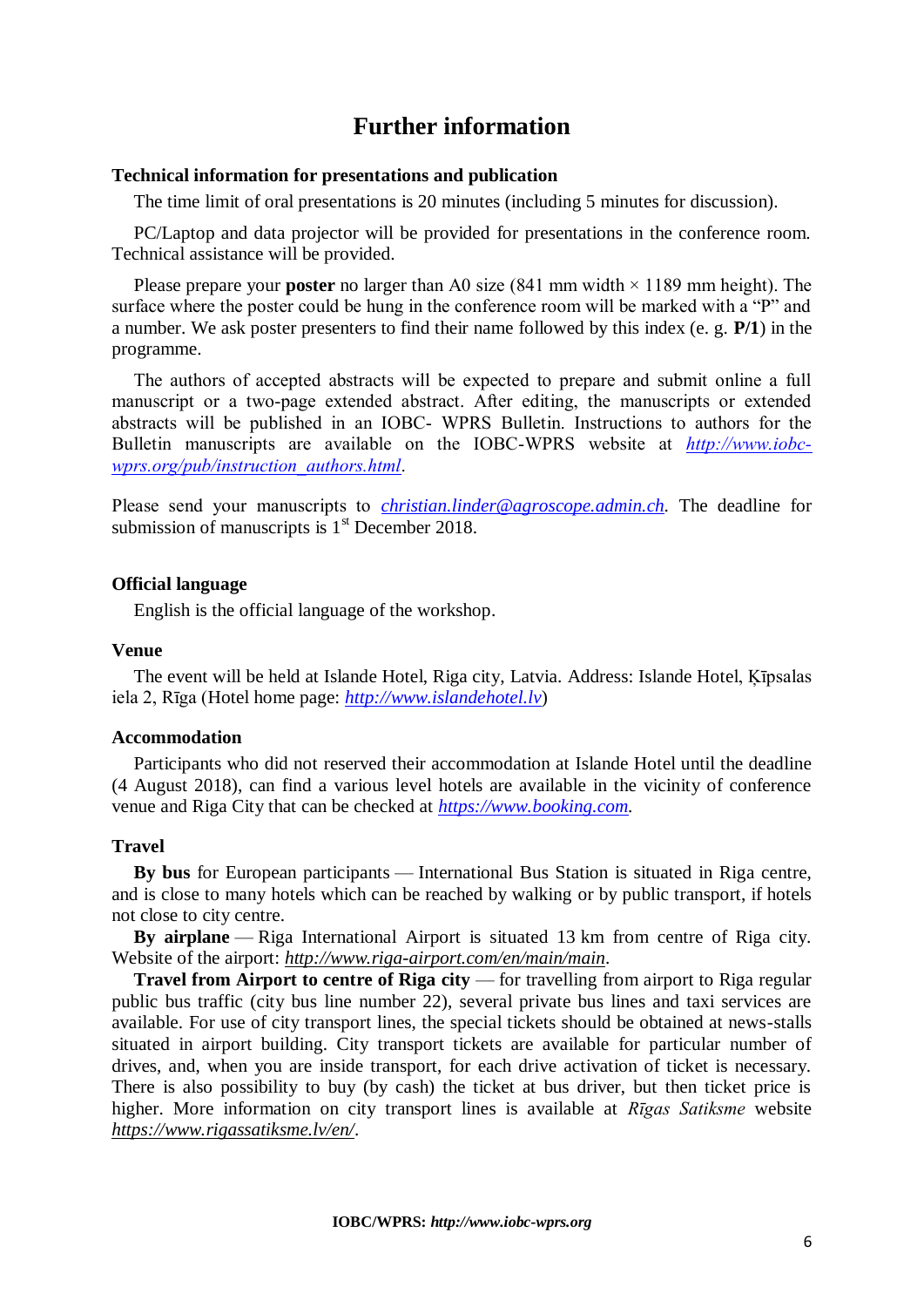# **Further information**

### **Technical information for presentations and publication**

The time limit of oral presentations is 20 minutes (including 5 minutes for discussion).

PC/Laptop and data projector will be provided for presentations in the conference room. Technical assistance will be provided.

Please prepare your **poster** no larger than A0 size (841 mm width  $\times$  1189 mm height). The surface where the poster could be hung in the conference room will be marked with a "P" and a number. We ask poster presenters to find their name followed by this index (e. g. **P/1**) in the programme.

The authors of accepted abstracts will be expected to prepare and submit online a full manuscript or a two-page extended abstract. After editing, the manuscripts or extended abstracts will be published in an IOBC- WPRS Bulletin. Instructions to authors for the Bulletin manuscripts are available on the IOBC-WPRS website at *[http://www.iobc](http://www.iobc-wprs.org/pub/instruction_authors.html)[wprs.org/pub/instruction\\_authors.html](http://www.iobc-wprs.org/pub/instruction_authors.html)*.

Please send your manuscripts to *christian.linder@agroscope.admin.ch*. The deadline for submission of manuscripts is  $1<sup>st</sup>$  December 2018.

### **Official language**

English is the official language of the workshop.

#### **Venue**

The event will be held at Islande Hotel, Riga city, Latvia. Address: Islande Hotel, Ķīpsalas iela 2, Rīga (Hotel home page: *[http://www.islandehotel.lv](http://www.islandehotel.lv/)*)

### **Accommodation**

Participants who did not reserved their accommodation at Islande Hotel until the deadline (4 August 2018), can find a various level hotels are available in the vicinity of conference venue and Riga City that can be checked at *[https://www.booking.com.](https://www.booking.com/)*

#### **Travel**

**By bus** for European participants — International Bus Station is situated in Riga centre, and is close to many hotels which can be reached by walking or by public transport, if hotels not close to city centre.

**By airplane** — Riga International Airport is situated 13 km from centre of Riga city. Website of the airport: *<http://www.riga-airport.com/en/main/main>*.

**Travel from Airport to centre of Riga city** — for travelling from airport to Riga regular public bus traffic (city bus line number 22), several private bus lines and taxi services are available. For use of city transport lines, the special tickets should be obtained at news-stalls situated in airport building. City transport tickets are available for particular number of drives, and, when you are inside transport, for each drive activation of ticket is necessary. There is also possibility to buy (by cash) the ticket at bus driver, but then ticket price is higher. More information on city transport lines is available at *Rīgas Satiksme* website *<https://www.rigassatiksme.lv/en/>*.